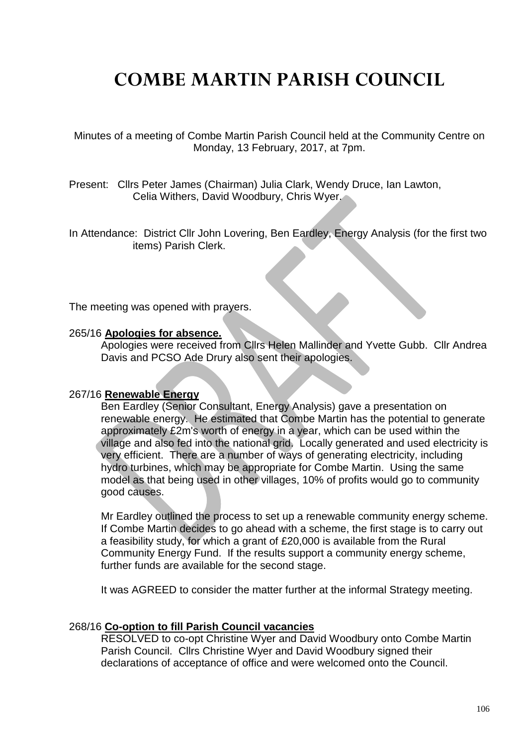# **COMBE MARTIN PARISH COUNCIL**

Minutes of a meeting of Combe Martin Parish Council held at the Community Centre on Monday, 13 February, 2017, at 7pm.

Present: Cllrs Peter James (Chairman) Julia Clark, Wendy Druce, Ian Lawton, Celia Withers, David Woodbury, Chris Wyer.

In Attendance: District Cllr John Lovering, Ben Eardley, Energy Analysis (for the first two items) Parish Clerk.

The meeting was opened with prayers.

#### 265/16 **Apologies for absence.**

Apologies were received from Cllrs Helen Mallinder and Yvette Gubb. Cllr Andrea Davis and PCSO Ade Drury also sent their apologies.

#### 267/16 **Renewable Energy**

Ben Eardley (Senior Consultant, Energy Analysis) gave a presentation on renewable energy. He estimated that Combe Martin has the potential to generate approximately £2m's worth of energy in a year, which can be used within the village and also fed into the national grid. Locally generated and used electricity is very efficient. There are a number of ways of generating electricity, including hydro turbines, which may be appropriate for Combe Martin. Using the same model as that being used in other villages, 10% of profits would go to community good causes.

Mr Eardley outlined the process to set up a renewable community energy scheme. If Combe Martin decides to go ahead with a scheme, the first stage is to carry out a feasibility study, for which a grant of £20,000 is available from the Rural Community Energy Fund. If the results support a community energy scheme, further funds are available for the second stage.

It was AGREED to consider the matter further at the informal Strategy meeting.

#### 268/16 **Co-option to fill Parish Council vacancies**

RESOLVED to co-opt Christine Wyer and David Woodbury onto Combe Martin Parish Council. Cllrs Christine Wyer and David Woodbury signed their declarations of acceptance of office and were welcomed onto the Council.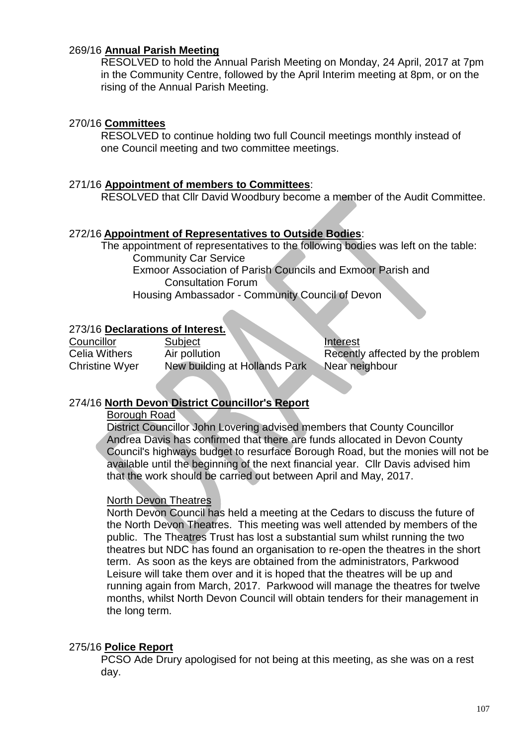# 269/16 **Annual Parish Meeting**

RESOLVED to hold the Annual Parish Meeting on Monday, 24 April, 2017 at 7pm in the Community Centre, followed by the April Interim meeting at 8pm, or on the rising of the Annual Parish Meeting.

# 270/16 **Committees**

RESOLVED to continue holding two full Council meetings monthly instead of one Council meeting and two committee meetings.

# 271/16 **Appointment of members to Committees**:

RESOLVED that Cllr David Woodbury become a member of the Audit Committee.

# 272/16 **Appointment of Representatives to Outside Bodies**:

The appointment of representatives to the following bodies was left on the table: Community Car Service Exmoor Association of Parish Councils and Exmoor Parish and Consultation Forum Housing Ambassador - Community Council of Devon

# 273/16 **Declarations of Interest.**

| Councillor            | Subject                       | Interest                         |
|-----------------------|-------------------------------|----------------------------------|
| <b>Celia Withers</b>  | Air pollution                 | Recently affected by the problem |
| <b>Christine Wyer</b> | New building at Hollands Park | Near neighbour                   |

# 274/16 **North Devon District Councillor's Report**

Borough Road

District Councillor John Lovering advised members that County Councillor Andrea Davis has confirmed that there are funds allocated in Devon County Council's highways budget to resurface Borough Road, but the monies will not be available until the beginning of the next financial year. Cllr Davis advised him that the work should be carried out between April and May, 2017.

# North Devon Theatres

North Devon Council has held a meeting at the Cedars to discuss the future of the North Devon Theatres. This meeting was well attended by members of the public. The Theatres Trust has lost a substantial sum whilst running the two theatres but NDC has found an organisation to re-open the theatres in the short term. As soon as the keys are obtained from the administrators, Parkwood Leisure will take them over and it is hoped that the theatres will be up and running again from March, 2017. Parkwood will manage the theatres for twelve months, whilst North Devon Council will obtain tenders for their management in the long term.

# 275/16 **Police Report**

PCSO Ade Drury apologised for not being at this meeting, as she was on a rest day.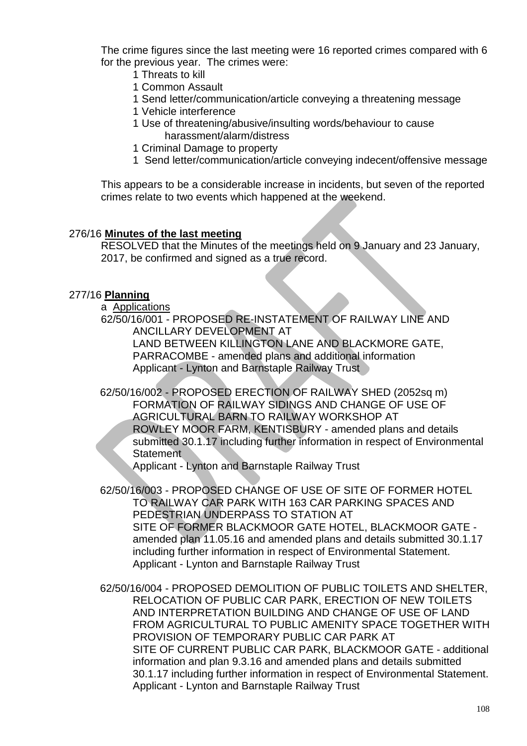The crime figures since the last meeting were 16 reported crimes compared with 6 for the previous year. The crimes were:

- 1 Threats to kill
- 1 Common Assault
- 1 Send letter/communication/article conveying a threatening message
- 1 Vehicle interference
- 1 Use of threatening/abusive/insulting words/behaviour to cause harassment/alarm/distress
- 1 Criminal Damage to property
- 1 Send letter/communication/article conveying indecent/offensive message

This appears to be a considerable increase in incidents, but seven of the reported crimes relate to two events which happened at the weekend.

#### 276/16 **Minutes of the last meeting**

RESOLVED that the Minutes of the meetings held on 9 January and 23 January, 2017, be confirmed and signed as a true record.

# 277/16 **Planning**

a Applications

62/50/16/001 - PROPOSED RE-INSTATEMENT OF RAILWAY LINE AND ANCILLARY DEVELOPMENT AT

LAND BETWEEN KILLINGTON LANE AND BLACKMORE GATE, PARRACOMBE - amended plans and additional information Applicant - Lynton and Barnstaple Railway Trust

62/50/16/002 - PROPOSED ERECTION OF RAILWAY SHED (2052sq m) FORMATION OF RAILWAY SIDINGS AND CHANGE OF USE OF AGRICULTURAL BARN TO RAILWAY WORKSHOP AT ROWLEY MOOR FARM, KENTISBURY - amended plans and details submitted 30.1.17 including further information in respect of Environmental **Statement** 

Applicant - Lynton and Barnstaple Railway Trust

62/50/16/003 - PROPOSED CHANGE OF USE OF SITE OF FORMER HOTEL TO RAILWAY CAR PARK WITH 163 CAR PARKING SPACES AND PEDESTRIAN UNDERPASS TO STATION AT SITE OF FORMER BLACKMOOR GATE HOTEL, BLACKMOOR GATE amended plan 11.05.16 and amended plans and details submitted 30.1.17 including further information in respect of Environmental Statement. Applicant - Lynton and Barnstaple Railway Trust

62/50/16/004 - PROPOSED DEMOLITION OF PUBLIC TOILETS AND SHELTER, RELOCATION OF PUBLIC CAR PARK, ERECTION OF NEW TOILETS AND INTERPRETATION BUILDING AND CHANGE OF USE OF LAND FROM AGRICULTURAL TO PUBLIC AMENITY SPACE TOGETHER WITH PROVISION OF TEMPORARY PUBLIC CAR PARK AT SITE OF CURRENT PUBLIC CAR PARK, BLACKMOOR GATE - additional information and plan 9.3.16 and amended plans and details submitted 30.1.17 including further information in respect of Environmental Statement. Applicant - Lynton and Barnstaple Railway Trust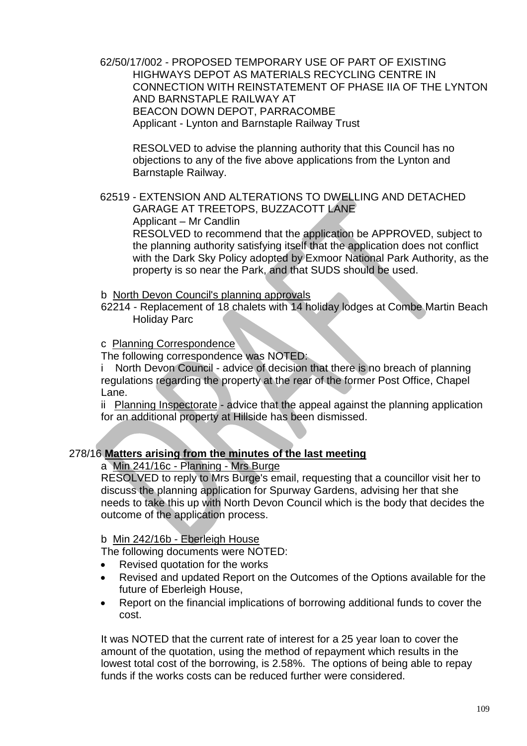62/50/17/002 - PROPOSED TEMPORARY USE OF PART OF EXISTING HIGHWAYS DEPOT AS MATERIALS RECYCLING CENTRE IN CONNECTION WITH REINSTATEMENT OF PHASE IIA OF THE LYNTON AND BARNSTAPLE RAILWAY AT BEACON DOWN DEPOT, PARRACOMBE Applicant - Lynton and Barnstaple Railway Trust

RESOLVED to advise the planning authority that this Council has no objections to any of the five above applications from the Lynton and Barnstaple Railway.

62519 - EXTENSION AND ALTERATIONS TO DWELLING AND DETACHED GARAGE AT TREETOPS, BUZZACOTT LANE Applicant – Mr Candlin

RESOLVED to recommend that the application be APPROVED, subject to the planning authority satisfying itself that the application does not conflict with the Dark Sky Policy adopted by Exmoor National Park Authority, as the property is so near the Park, and that SUDS should be used.

- b North Devon Council's planning approvals
- 62214 Replacement of 18 chalets with 14 holiday lodges at Combe Martin Beach Holiday Parc

#### cPlanning Correspondence

The following correspondence was NOTED:

i North Devon Council - advice of decision that there is no breach of planning regulations regarding the property at the rear of the former Post Office, Chapel Lane.

ii Planning Inspectorate - advice that the appeal against the planning application for an additional property at Hillside has been dismissed.

# 278/16 **Matters arising from the minutes of the last meeting**

#### a Min 241/16c - Planning - Mrs Burge

RESOLVED to reply to Mrs Burge's email, requesting that a councillor visit her to discuss the planning application for Spurway Gardens, advising her that she needs to take this up with North Devon Council which is the body that decides the outcome of the application process.

#### b Min 242/16b - Eberleigh House

The following documents were NOTED:

- Revised quotation for the works
- Revised and updated Report on the Outcomes of the Options available for the future of Eberleigh House,
- Report on the financial implications of borrowing additional funds to cover the cost.

It was NOTED that the current rate of interest for a 25 year loan to cover the amount of the quotation, using the method of repayment which results in the lowest total cost of the borrowing, is 2.58%. The options of being able to repay funds if the works costs can be reduced further were considered.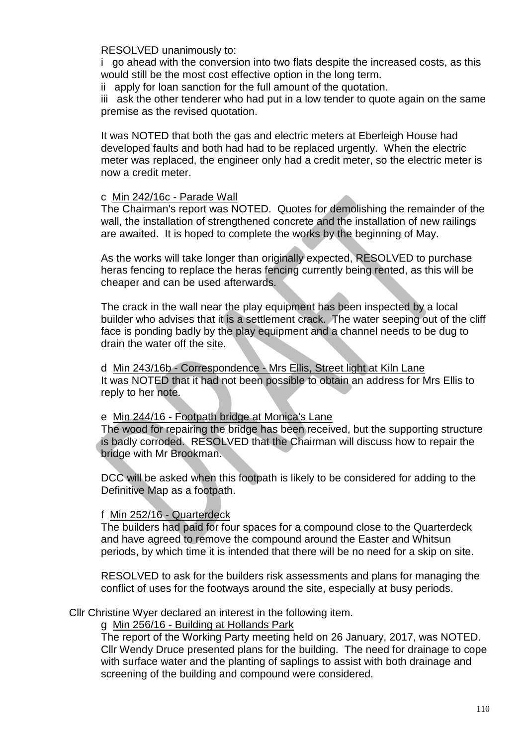RESOLVED unanimously to:

i go ahead with the conversion into two flats despite the increased costs, as this would still be the most cost effective option in the long term.

ii apply for loan sanction for the full amount of the quotation.

iii ask the other tenderer who had put in a low tender to quote again on the same premise as the revised quotation.

It was NOTED that both the gas and electric meters at Eberleigh House had developed faults and both had had to be replaced urgently. When the electric meter was replaced, the engineer only had a credit meter, so the electric meter is now a credit meter.

# c Min 242/16c - Parade Wall

The Chairman's report was NOTED. Quotes for demolishing the remainder of the wall, the installation of strengthened concrete and the installation of new railings are awaited. It is hoped to complete the works by the beginning of May.

As the works will take longer than originally expected, RESOLVED to purchase heras fencing to replace the heras fencing currently being rented, as this will be cheaper and can be used afterwards.

The crack in the wall near the play equipment has been inspected by a local builder who advises that it is a settlement crack. The water seeping out of the cliff face is ponding badly by the play equipment and a channel needs to be dug to drain the water off the site.

d Min 243/16b - Correspondence - Mrs Ellis, Street light at Kiln Lane It was NOTED that it had not been possible to obtain an address for Mrs Ellis to reply to her note.

# e Min 244/16 - Footpath bridge at Monica's Lane

The wood for repairing the bridge has been received, but the supporting structure is badly corroded. RESOLVED that the Chairman will discuss how to repair the bridge with Mr Brookman.

DCC will be asked when this footpath is likely to be considered for adding to the Definitive Map as a footpath.

# f Min 252/16 - Quarterdeck

The builders had paid for four spaces for a compound close to the Quarterdeck and have agreed to remove the compound around the Easter and Whitsun periods, by which time it is intended that there will be no need for a skip on site.

RESOLVED to ask for the builders risk assessments and plans for managing the conflict of uses for the footways around the site, especially at busy periods.

Cllr Christine Wyer declared an interest in the following item.

g Min 256/16 - Building at Hollands Park

The report of the Working Party meeting held on 26 January, 2017, was NOTED. Cllr Wendy Druce presented plans for the building. The need for drainage to cope with surface water and the planting of saplings to assist with both drainage and screening of the building and compound were considered.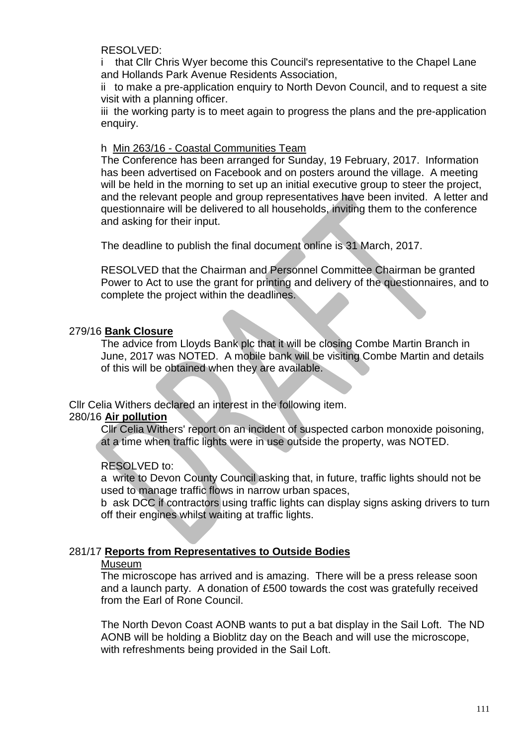RESOLVED:

i that Cllr Chris Wyer become this Council's representative to the Chapel Lane and Hollands Park Avenue Residents Association,

ii to make a pre-application enquiry to North Devon Council, and to request a site visit with a planning officer.

iii the working party is to meet again to progress the plans and the pre-application enquiry.

#### h Min 263/16 - Coastal Communities Team

The Conference has been arranged for Sunday, 19 February, 2017. Information has been advertised on Facebook and on posters around the village. A meeting will be held in the morning to set up an initial executive group to steer the project, and the relevant people and group representatives have been invited. A letter and questionnaire will be delivered to all households, inviting them to the conference and asking for their input.

The deadline to publish the final document online is 31 March, 2017.

RESOLVED that the Chairman and Personnel Committee Chairman be granted Power to Act to use the grant for printing and delivery of the questionnaires, and to complete the project within the deadlines.

#### 279/16 **Bank Closure**

The advice from Lloyds Bank plc that it will be closing Combe Martin Branch in June, 2017 was NOTED. A mobile bank will be visiting Combe Martin and details of this will be obtained when they are available.

Cllr Celia Withers declared an interest in the following item.

#### 280/16 **Air pollution**

Cllr Celia Withers' report on an incident of suspected carbon monoxide poisoning, at a time when traffic lights were in use outside the property, was NOTED.

# RESOLVED to:

a write to Devon County Council asking that, in future, traffic lights should not be used to manage traffic flows in narrow urban spaces,

b ask DCC if contractors using traffic lights can display signs asking drivers to turn off their engines whilst waiting at traffic lights.

# 281/17 **Reports from Representatives to Outside Bodies**

#### Museum

The microscope has arrived and is amazing. There will be a press release soon and a launch party. A donation of £500 towards the cost was gratefully received from the Earl of Rone Council.

The North Devon Coast AONB wants to put a bat display in the Sail Loft. The ND AONB will be holding a Bioblitz day on the Beach and will use the microscope, with refreshments being provided in the Sail Loft.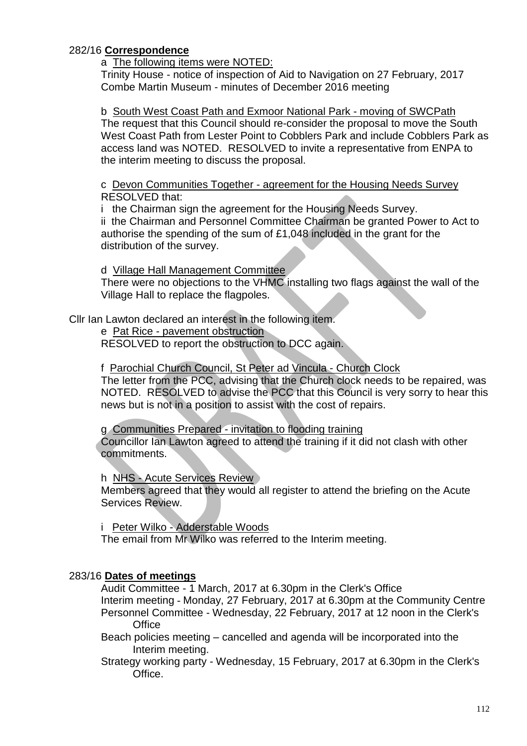# 282/16 **Correspondence**

a The following items were NOTED:

Trinity House - notice of inspection of Aid to Navigation on 27 February, 2017 Combe Martin Museum - minutes of December 2016 meeting

b South West Coast Path and Exmoor National Park - moving of SWCPath The request that this Council should re-consider the proposal to move the South West Coast Path from Lester Point to Cobblers Park and include Cobblers Park as access land was NOTED. RESOLVED to invite a representative from ENPA to the interim meeting to discuss the proposal.

c Devon Communities Together - agreement for the Housing Needs Survey RESOLVED that:

i the Chairman sign the agreement for the Housing Needs Survey.

ii the Chairman and Personnel Committee Chairman be granted Power to Act to authorise the spending of the sum of £1,048 included in the grant for the distribution of the survey.

d Village Hall Management Committee

There were no objections to the VHMC installing two flags against the wall of the Village Hall to replace the flagpoles.

Cllr Ian Lawton declared an interest in the following item.

e Pat Rice - pavement obstruction

RESOLVED to report the obstruction to DCC again.

f Parochial Church Council, St Peter ad Vincula - Church Clock

The letter from the PCC, advising that the Church clock needs to be repaired, was NOTED. RESOLVED to advise the PCC that this Council is very sorry to hear this news but is not in a position to assist with the cost of repairs.

g Communities Prepared - invitation to flooding training

Councillor Ian Lawton agreed to attend the training if it did not clash with other commitments.

h NHS - Acute Services Review

Members agreed that they would all register to attend the briefing on the Acute Services Review.

i Peter Wilko - Adderstable Woods

The email from Mr Wilko was referred to the Interim meeting.

# 283/16 **Dates of meetings**

Audit Committee - 1 March, 2017 at 6.30pm in the Clerk's Office Interim meeting - Monday, 27 February, 2017 at 6.30pm at the Community Centre Personnel Committee - Wednesday, 22 February, 2017 at 12 noon in the Clerk's **Office** 

Beach policies meeting – cancelled and agenda will be incorporated into the Interim meeting.

Strategy working party - Wednesday, 15 February, 2017 at 6.30pm in the Clerk's Office.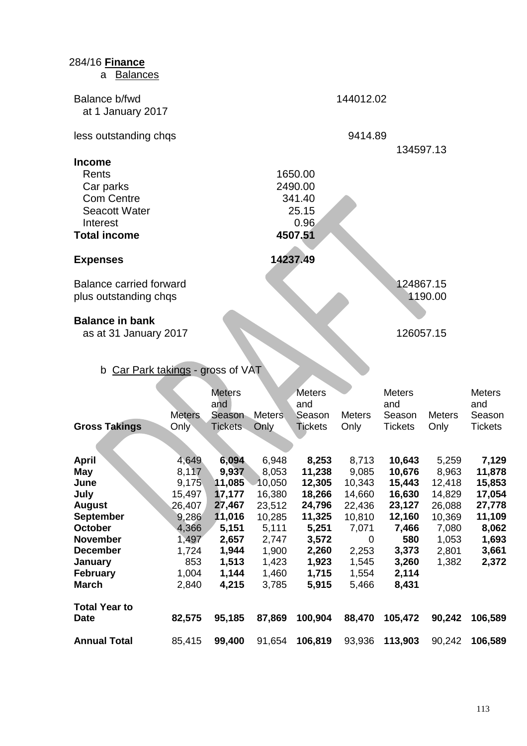| 284/16 Finance<br><b>Balances</b><br>а                                                                                                                                         |                                                                                                          |                                                                                                              |                                                                                                              |                                                                                                               |                                                                                                          |                                                                                                              |                                                                                            |                                                                                             |  |  |
|--------------------------------------------------------------------------------------------------------------------------------------------------------------------------------|----------------------------------------------------------------------------------------------------------|--------------------------------------------------------------------------------------------------------------|--------------------------------------------------------------------------------------------------------------|---------------------------------------------------------------------------------------------------------------|----------------------------------------------------------------------------------------------------------|--------------------------------------------------------------------------------------------------------------|--------------------------------------------------------------------------------------------|---------------------------------------------------------------------------------------------|--|--|
| Balance b/fwd<br>at 1 January 2017                                                                                                                                             |                                                                                                          |                                                                                                              |                                                                                                              |                                                                                                               | 144012.02                                                                                                |                                                                                                              |                                                                                            |                                                                                             |  |  |
| less outstanding chqs                                                                                                                                                          |                                                                                                          |                                                                                                              |                                                                                                              |                                                                                                               |                                                                                                          | 9414.89                                                                                                      |                                                                                            |                                                                                             |  |  |
| <b>Income</b><br>Rents<br>Car parks<br><b>Com Centre</b><br><b>Seacott Water</b><br>Interest<br><b>Total income</b>                                                            |                                                                                                          |                                                                                                              |                                                                                                              | 1650.00<br>2490.00<br>341.40<br>25.15<br>0.96<br>4507.51                                                      |                                                                                                          | 134597.13                                                                                                    |                                                                                            |                                                                                             |  |  |
| 14237.49<br><b>Expenses</b>                                                                                                                                                    |                                                                                                          |                                                                                                              |                                                                                                              |                                                                                                               |                                                                                                          |                                                                                                              |                                                                                            |                                                                                             |  |  |
| Balance carried forward<br>plus outstanding chqs                                                                                                                               |                                                                                                          |                                                                                                              |                                                                                                              |                                                                                                               | 124867.15<br>1190.00                                                                                     |                                                                                                              |                                                                                            |                                                                                             |  |  |
| <b>Balance in bank</b><br>as at 31 January 2017<br>b Car Park takings - gross of VAT                                                                                           |                                                                                                          |                                                                                                              |                                                                                                              |                                                                                                               | 126057.15                                                                                                |                                                                                                              |                                                                                            |                                                                                             |  |  |
| <b>Gross Takings</b>                                                                                                                                                           | <b>Meters</b><br>Only                                                                                    | <b>Meters</b><br>and<br>Season<br><b>Tickets</b>                                                             | <b>Meters</b><br>Only                                                                                        | <b>Meters</b><br>and<br>Season<br><b>Tickets</b>                                                              | <b>Meters</b><br>Only                                                                                    | <b>Meters</b><br>and<br>Season<br><b>Tickets</b>                                                             | <b>Meters</b><br>Only                                                                      | <b>Meters</b><br>and<br>Season<br><b>Tickets</b>                                            |  |  |
| <b>April</b><br>May<br>June<br>July<br><b>August</b><br><b>September</b><br>October<br><b>November</b><br><b>December</b><br><b>January</b><br><b>February</b><br><b>March</b> | 4,649<br>8,117<br>9,175<br>15,497<br>26,407<br>9,286<br>4,366<br>1,497<br>1,724<br>853<br>1,004<br>2,840 | 6,094<br>9,937<br>11,085<br>17,177<br>27,467<br>11,016<br>5,151<br>2,657<br>1,944<br>1,513<br>1,144<br>4,215 | 6,948<br>8,053<br>10,050<br>16,380<br>23,512<br>10,285<br>5,111<br>2,747<br>1,900<br>1,423<br>1,460<br>3,785 | 8,253<br>11,238<br>12,305<br>18,266<br>24,796<br>11,325<br>5,251<br>3,572<br>2,260<br>1,923<br>1,715<br>5,915 | 8,713<br>9,085<br>10,343<br>14,660<br>22,436<br>10,810<br>7,071<br>0<br>2,253<br>1,545<br>1,554<br>5,466 | 10,643<br>10,676<br>15,443<br>16,630<br>23,127<br>12,160<br>7,466<br>580<br>3,373<br>3,260<br>2,114<br>8,431 | 5,259<br>8,963<br>12,418<br>14,829<br>26,088<br>10,369<br>7,080<br>1,053<br>2,801<br>1,382 | 7,129<br>11,878<br>15,853<br>17,054<br>27,778<br>11,109<br>8,062<br>1,693<br>3,661<br>2,372 |  |  |